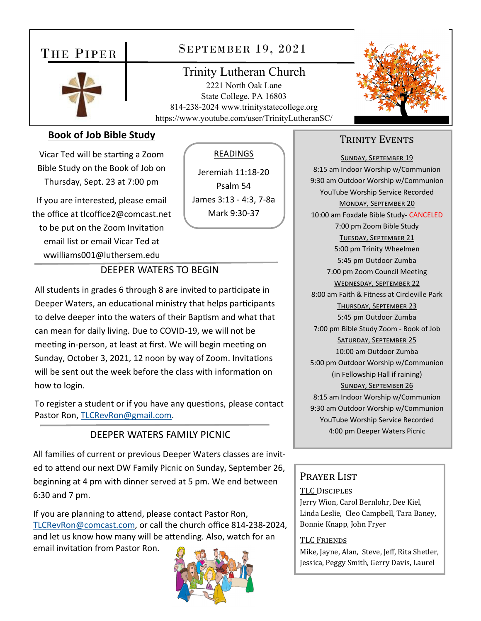# THE PIPER



# SEPTEMBER 19, 2021

Trinity Lutheran Church 2221 North Oak Lane State College, PA 16803 814-238-2024 www.trinitystatecollege.org https://www.youtube.com/user/TrinityLutheranSC/



### **Book of Job Bible Study**

Vicar Ted will be starting a Zoom Bible Study on the Book of Job on Thursday, Sept. 23 at 7:00 pm

If you are interested, please email the office at tlcoffice2@comcast.net to be put on the Zoom Invitation email list or email Vicar Ted at wwilliams001@luthersem.edu

## READINGS

Jeremiah 11:18‐20 Psalm 54 James 3:13 ‐ 4:3, 7‐8a Mark 9:30‐37

### DEEPER WATERS TO BEGIN

All students in grades 6 through 8 are invited to participate in Deeper Waters, an educational ministry that helps participants to delve deeper into the waters of their Baptism and what that can mean for daily living. Due to COVID‐19, we will not be meeting in-person, at least at first. We will begin meeting on Sunday, October 3, 2021, 12 noon by way of Zoom. Invitations will be sent out the week before the class with information on how to login.

To register a student or if you have any questions, please contact Pastor Ron, TLCRevRon@gmail.com.

#### DEEPER WATERS FAMILY PICNIC

All families of current or previous Deeper Waters classes are invit‐ ed to attend our next DW Family Picnic on Sunday, September 26, beginning at 4 pm with dinner served at 5 pm. We end between 6:30 and 7 pm.

If you are planning to attend, please contact Pastor Ron, TLCRevRon@comcast.com, or call the church office 814‐238‐2024, and let us know how many will be attending. Also, watch for an email invitation from Pastor Ron.



## TRINITY EVENTS

SUNDAY, SEPTEMBER 19 8:15 am Indoor Worship w/Communion 9:30 am Outdoor Worship w/Communion YouTube Worship Service Recorded MONDAY, SEPTEMBER 20 10:00 am Foxdale Bible Study‐ CANCELED 7:00 pm Zoom Bible Study TUESDAY, SEPTEMBER 21 5:00 pm Trinity Wheelmen 5:45 pm Outdoor Zumba 7:00 pm Zoom Council Meeting WEDNESDAY, SEPTEMBER 22 8:00 am Faith & Fitness at Circleville Park THURSDAY, SEPTEMBER 23 5:45 pm Outdoor Zumba 7:00 pm Bible Study Zoom ‐ Book of Job SATURDAY, SEPTEMBER 25 10:00 am Outdoor Zumba 5:00 pm Outdoor Worship w/Communion (in Fellowship Hall if raining) SUNDAY, SEPTEMBER 26 8:15 am Indoor Worship w/Communion 9:30 am Outdoor Worship w/Communion YouTube Worship Service Recorded 4:00 pm Deeper Waters Picnic

#### Prayer List

#### TLC DISCIPLES

Jerry Wion, Carol Bernlohr, Dee Kiel, Linda Leslie, Cleo Campbell, Tara Baney, Bonnie Knapp, John Fryer

#### TLC FRIENDS

Mike, Jayne, Alan, Steve, Jeff, Rita Shetler, Jessica, Peggy Smith, Gerry Davis, Laurel